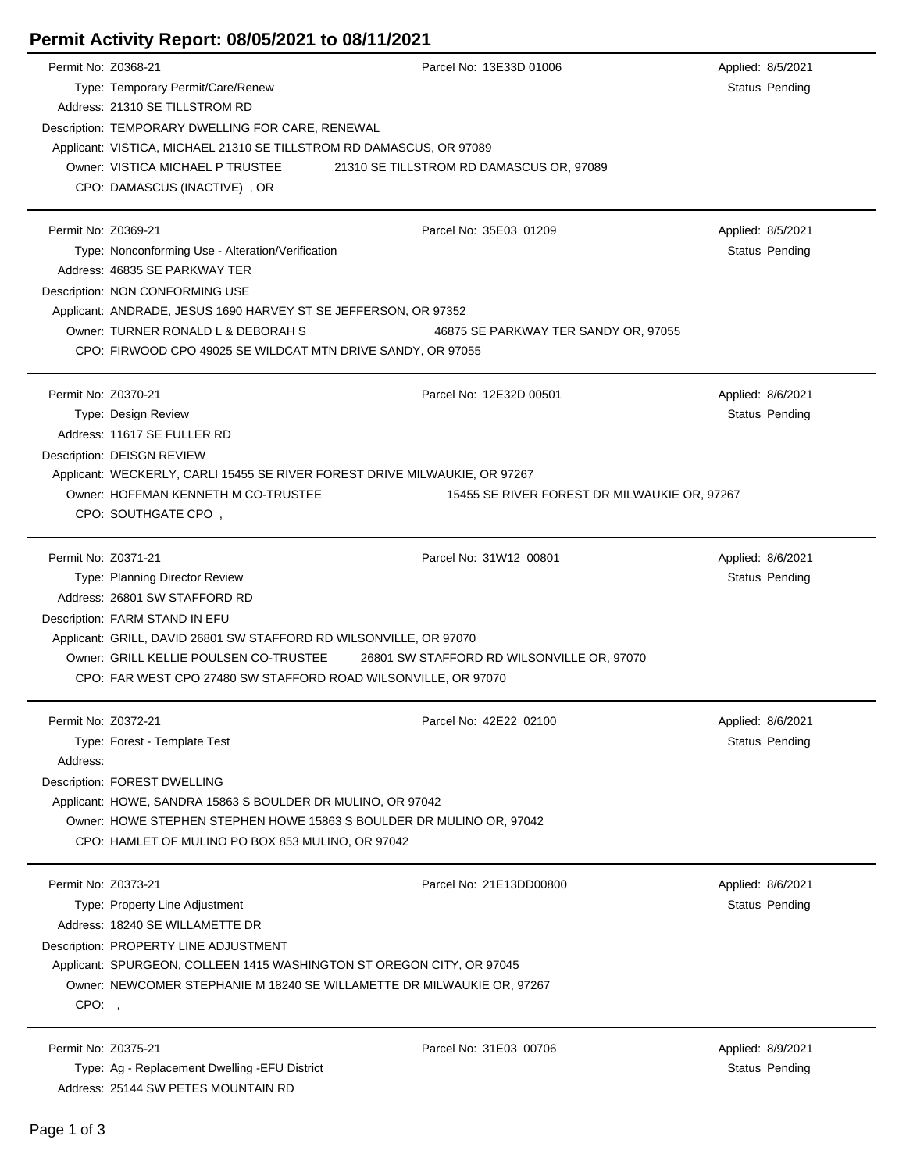## **Permit Activity Report: 08/05/2021 to 08/11/2021**

| Permit No: Z0368-21 |                                                                            | Parcel No: 13E33D 01006                           | Applied: 8/5/2021     |  |  |  |  |
|---------------------|----------------------------------------------------------------------------|---------------------------------------------------|-----------------------|--|--|--|--|
|                     | Type: Temporary Permit/Care/Renew                                          |                                                   | <b>Status Pending</b> |  |  |  |  |
|                     | Address: 21310 SE TILLSTROM RD                                             |                                                   |                       |  |  |  |  |
|                     |                                                                            | Description: TEMPORARY DWELLING FOR CARE, RENEWAL |                       |  |  |  |  |
|                     | Applicant: VISTICA, MICHAEL 21310 SE TILLSTROM RD DAMASCUS, OR 97089       |                                                   |                       |  |  |  |  |
|                     | Owner: VISTICA MICHAEL P TRUSTEE                                           | 21310 SE TILLSTROM RD DAMASCUS OR, 97089          |                       |  |  |  |  |
|                     | CPO: DAMASCUS (INACTIVE), OR                                               |                                                   |                       |  |  |  |  |
|                     |                                                                            |                                                   |                       |  |  |  |  |
| Permit No: Z0369-21 |                                                                            | Parcel No: 35E03 01209                            | Applied: 8/5/2021     |  |  |  |  |
|                     | Type: Nonconforming Use - Alteration/Verification                          |                                                   | Status Pending        |  |  |  |  |
|                     | Address: 46835 SE PARKWAY TER                                              |                                                   |                       |  |  |  |  |
|                     |                                                                            |                                                   |                       |  |  |  |  |
|                     | Description: NON CONFORMING USE                                            |                                                   |                       |  |  |  |  |
|                     | Applicant: ANDRADE, JESUS 1690 HARVEY ST SE JEFFERSON, OR 97352            |                                                   |                       |  |  |  |  |
|                     | Owner: TURNER RONALD L & DEBORAH S                                         | 46875 SE PARKWAY TER SANDY OR, 97055              |                       |  |  |  |  |
|                     | CPO: FIRWOOD CPO 49025 SE WILDCAT MTN DRIVE SANDY, OR 97055                |                                                   |                       |  |  |  |  |
| Permit No: Z0370-21 |                                                                            |                                                   |                       |  |  |  |  |
|                     |                                                                            | Parcel No: 12E32D 00501                           | Applied: 8/6/2021     |  |  |  |  |
|                     | Type: Design Review                                                        |                                                   | Status Pending        |  |  |  |  |
|                     | Address: 11617 SE FULLER RD                                                |                                                   |                       |  |  |  |  |
|                     | Description: DEISGN REVIEW                                                 |                                                   |                       |  |  |  |  |
|                     | Applicant: WECKERLY, CARLI 15455 SE RIVER FOREST DRIVE MILWAUKIE, OR 97267 |                                                   |                       |  |  |  |  |
|                     | Owner: HOFFMAN KENNETH M CO-TRUSTEE                                        | 15455 SE RIVER FOREST DR MILWAUKIE OR, 97267      |                       |  |  |  |  |
|                     | CPO: SOUTHGATE CPO,                                                        |                                                   |                       |  |  |  |  |
|                     |                                                                            |                                                   |                       |  |  |  |  |
| Permit No: Z0371-21 |                                                                            | Parcel No: 31W12 00801                            | Applied: 8/6/2021     |  |  |  |  |
|                     | Type: Planning Director Review                                             |                                                   | <b>Status Pending</b> |  |  |  |  |
|                     | Address: 26801 SW STAFFORD RD                                              |                                                   |                       |  |  |  |  |
|                     | Description: FARM STAND IN EFU                                             |                                                   |                       |  |  |  |  |
|                     | Applicant: GRILL, DAVID 26801 SW STAFFORD RD WILSONVILLE, OR 97070         |                                                   |                       |  |  |  |  |
|                     | Owner: GRILL KELLIE POULSEN CO-TRUSTEE                                     | 26801 SW STAFFORD RD WILSONVILLE OR, 97070        |                       |  |  |  |  |
|                     | CPO: FAR WEST CPO 27480 SW STAFFORD ROAD WILSONVILLE, OR 97070             |                                                   |                       |  |  |  |  |
|                     |                                                                            |                                                   |                       |  |  |  |  |
| Permit No: Z0372-21 |                                                                            | Parcel No: 42E22 02100                            | Applied: 8/6/2021     |  |  |  |  |
|                     | Type: Forest - Template Test                                               |                                                   | <b>Status Pending</b> |  |  |  |  |
| Address:            |                                                                            |                                                   |                       |  |  |  |  |
|                     | Description: FOREST DWELLING                                               |                                                   |                       |  |  |  |  |
|                     | Applicant: HOWE, SANDRA 15863 S BOULDER DR MULINO, OR 97042                |                                                   |                       |  |  |  |  |
|                     | Owner: HOWE STEPHEN STEPHEN HOWE 15863 S BOULDER DR MULINO OR, 97042       |                                                   |                       |  |  |  |  |
|                     | CPO: HAMLET OF MULINO PO BOX 853 MULINO, OR 97042                          |                                                   |                       |  |  |  |  |
|                     |                                                                            |                                                   |                       |  |  |  |  |
| Permit No: Z0373-21 |                                                                            | Parcel No: 21E13DD00800                           | Applied: 8/6/2021     |  |  |  |  |
|                     | Type: Property Line Adjustment                                             |                                                   | Status Pending        |  |  |  |  |
|                     | Address: 18240 SE WILLAMETTE DR                                            |                                                   |                       |  |  |  |  |
|                     |                                                                            |                                                   |                       |  |  |  |  |
|                     | Description: PROPERTY LINE ADJUSTMENT                                      |                                                   |                       |  |  |  |  |
|                     | Applicant: SPURGEON, COLLEEN 1415 WASHINGTON ST OREGON CITY, OR 97045      |                                                   |                       |  |  |  |  |
|                     | Owner: NEWCOMER STEPHANIE M 18240 SE WILLAMETTE DR MILWAUKIE OR, 97267     |                                                   |                       |  |  |  |  |
| CPO:,               |                                                                            |                                                   |                       |  |  |  |  |
| Permit No: Z0375-21 |                                                                            | Parcel No: 31E03 00706                            |                       |  |  |  |  |
|                     |                                                                            |                                                   | Applied: 8/9/2021     |  |  |  |  |
|                     | Type: Ag - Replacement Dwelling -EFU District                              |                                                   | Status Pending        |  |  |  |  |
|                     | Address: 25144 SW PETES MOUNTAIN RD                                        |                                                   |                       |  |  |  |  |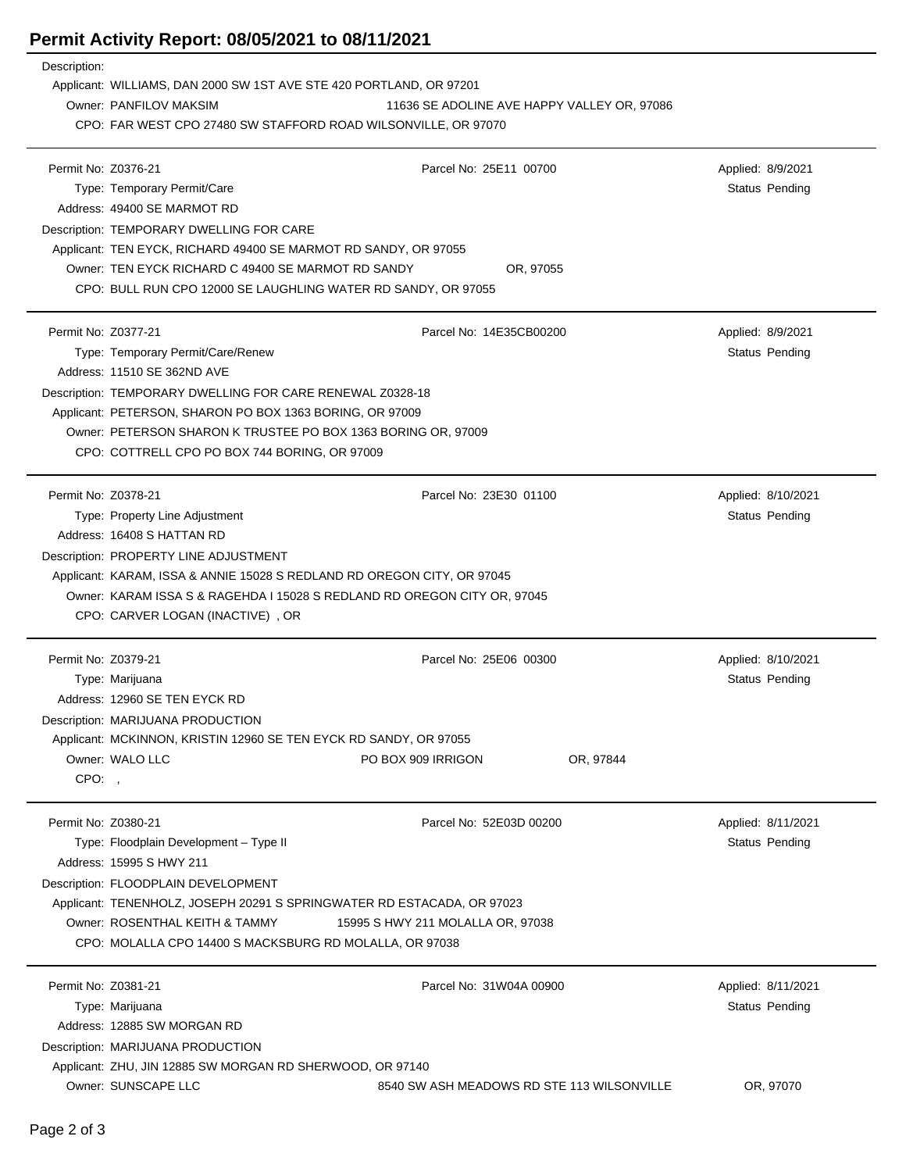## **Permit Activity Report: 08/05/2021 to 08/11/2021**

| Description:        |                                                                                                |                                            |                       |  |  |
|---------------------|------------------------------------------------------------------------------------------------|--------------------------------------------|-----------------------|--|--|
|                     | Applicant: WILLIAMS, DAN 2000 SW 1ST AVE STE 420 PORTLAND, OR 97201                            |                                            |                       |  |  |
|                     | Owner: PANFILOV MAKSIM<br>11636 SE ADOLINE AVE HAPPY VALLEY OR, 97086                          |                                            |                       |  |  |
|                     | CPO: FAR WEST CPO 27480 SW STAFFORD ROAD WILSONVILLE, OR 97070                                 |                                            |                       |  |  |
| Permit No: Z0376-21 |                                                                                                | Parcel No: 25E11 00700                     | Applied: 8/9/2021     |  |  |
|                     | Type: Temporary Permit/Care                                                                    |                                            | <b>Status Pending</b> |  |  |
|                     | Address: 49400 SE MARMOT RD                                                                    |                                            |                       |  |  |
|                     | Description: TEMPORARY DWELLING FOR CARE                                                       |                                            |                       |  |  |
|                     | Applicant: TEN EYCK, RICHARD 49400 SE MARMOT RD SANDY, OR 97055                                |                                            |                       |  |  |
|                     | Owner: TEN EYCK RICHARD C 49400 SE MARMOT RD SANDY                                             | OR, 97055                                  |                       |  |  |
|                     | CPO: BULL RUN CPO 12000 SE LAUGHLING WATER RD SANDY, OR 97055                                  |                                            |                       |  |  |
|                     |                                                                                                |                                            |                       |  |  |
| Permit No: Z0377-21 |                                                                                                | Parcel No: 14E35CB00200                    | Applied: 8/9/2021     |  |  |
|                     | Type: Temporary Permit/Care/Renew                                                              |                                            | <b>Status Pending</b> |  |  |
|                     | Address: 11510 SE 362ND AVE                                                                    |                                            |                       |  |  |
|                     | Description: TEMPORARY DWELLING FOR CARE RENEWAL Z0328-18                                      |                                            |                       |  |  |
|                     | Applicant: PETERSON, SHARON PO BOX 1363 BORING, OR 97009                                       |                                            |                       |  |  |
|                     | Owner: PETERSON SHARON K TRUSTEE PO BOX 1363 BORING OR, 97009                                  |                                            |                       |  |  |
|                     | CPO: COTTRELL CPO PO BOX 744 BORING, OR 97009                                                  |                                            |                       |  |  |
| Permit No: Z0378-21 |                                                                                                | Parcel No: 23E30 01100                     | Applied: 8/10/2021    |  |  |
|                     | Type: Property Line Adjustment                                                                 |                                            | <b>Status Pending</b> |  |  |
|                     | Address: 16408 S HATTAN RD                                                                     |                                            |                       |  |  |
|                     | Description: PROPERTY LINE ADJUSTMENT                                                          |                                            |                       |  |  |
|                     | Applicant: KARAM, ISSA & ANNIE 15028 S REDLAND RD OREGON CITY, OR 97045                        |                                            |                       |  |  |
|                     | Owner: KARAM ISSA S & RAGEHDA I 15028 S REDLAND RD OREGON CITY OR, 97045                       |                                            |                       |  |  |
|                     | CPO: CARVER LOGAN (INACTIVE), OR                                                               |                                            |                       |  |  |
|                     |                                                                                                |                                            |                       |  |  |
| Permit No: Z0379-21 |                                                                                                | Parcel No: 25E06 00300                     | Applied: 8/10/2021    |  |  |
|                     | Type: Marijuana                                                                                |                                            | Status Pending        |  |  |
|                     | Address: 12960 SE TEN EYCK RD                                                                  |                                            |                       |  |  |
|                     | Description: MARIJUANA PRODUCTION                                                              |                                            |                       |  |  |
|                     | Applicant: MCKINNON, KRISTIN 12960 SE TEN EYCK RD SANDY, OR 97055<br>Owner: WALO LLC           | PO BOX 909 IRRIGON                         |                       |  |  |
| CPO:                |                                                                                                | OR, 97844                                  |                       |  |  |
|                     |                                                                                                |                                            |                       |  |  |
| Permit No: Z0380-21 |                                                                                                | Parcel No: 52E03D 00200                    | Applied: 8/11/2021    |  |  |
|                     | Type: Floodplain Development - Type II                                                         |                                            | <b>Status Pending</b> |  |  |
|                     | Address: 15995 S HWY 211                                                                       |                                            |                       |  |  |
|                     | Description: FLOODPLAIN DEVELOPMENT                                                            |                                            |                       |  |  |
|                     | Applicant: TENENHOLZ, JOSEPH 20291 S SPRINGWATER RD ESTACADA, OR 97023                         |                                            |                       |  |  |
|                     | Owner: ROSENTHAL KEITH & TAMMY                                                                 | 15995 S HWY 211 MOLALLA OR, 97038          |                       |  |  |
|                     | CPO: MOLALLA CPO 14400 S MACKSBURG RD MOLALLA, OR 97038                                        |                                            |                       |  |  |
|                     |                                                                                                |                                            |                       |  |  |
| Permit No: Z0381-21 |                                                                                                | Parcel No: 31W04A 00900                    | Applied: 8/11/2021    |  |  |
|                     | Type: Marijuana                                                                                |                                            | <b>Status Pending</b> |  |  |
|                     | Address: 12885 SW MORGAN RD                                                                    |                                            |                       |  |  |
|                     | Description: MARIJUANA PRODUCTION<br>Applicant: ZHU, JIN 12885 SW MORGAN RD SHERWOOD, OR 97140 |                                            |                       |  |  |
|                     | Owner: SUNSCAPE LLC                                                                            | 8540 SW ASH MEADOWS RD STE 113 WILSONVILLE | OR, 97070             |  |  |
|                     |                                                                                                |                                            |                       |  |  |